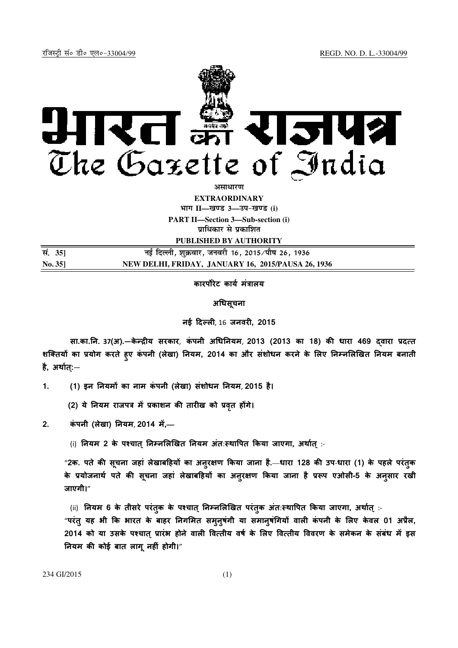

**असाधारण** 

**EXTRAORDINARY**  $\lim_{h \to 0} \frac{1}{h} = \frac{1}{h}$  and 3 and  $\lim_{h \to 0} \frac{1}{h} = \frac{1}{h}$ 

**PART II—Section 3—Sub-section (i) प्राधिकार से प्रकाशित** 

**PUBLISHED BY AUTHORITY**

| सं. 35] | नई दिल्ली, शुक्रवार, जनवरी 16, 2015 ∕पौष 26, 1936  |
|---------|----------------------------------------------------|
| No. 351 | NEW DELHI, FRIDAY, JANUARY 16, 2015/PAUSA 26, 1936 |

### कारपोरेट कार्य मत्रालय

#### अधिसूचना

नई दल, 16 जनवर, 2015

सा.का.नि. 37(अ).—केन्द्रीय सरकार, कंपनी अधिनियम, 2013 (2013 का 18) की धारा 469 दवारा प्रदत्त शक्तियों का प्रयोग करते हुए कंपनी (लेखा) नियम, 2014 का और संशोधन करने के लिए निम्नलिखित नियम बनाती है, अथा त:्—

1. (1) इन नियमों का नाम कंपनी (लेखा) संशोधन नियम, 2015 है।

(2) ये नियम राजपत्र में प्रकाशन की तारीख को प्रवृत होंगे।

- 2. कंपनी (लेखा) नियम, 2014 में,-
	- (i) नियम 2 के पश्चात् निम्नलिखित नियम अंतःस्थापित किया जाएगा, अर्थात् :-

"2क. पते की सूचना जहां लेखाबहियों का अनुरक्षण किया जाना है.—धारा 128 की उप-धारा (1) के पहले परंतुक के प्रयोजनाथे पते की सूचना जहां लेखाबहियों का अनुरक्षण किया जाना है प्ररूप एओसी-5 के अनुसार रखी जाएगी।"

(ii) नियम 6 के तीसरे परंतुक के पश्चात् निम्नलिखित परंतुक अंतःस्थापित किया जाएगा, अर्थात् :-

"परंत् यह भी कि भारत के बाहर निगमित सम् नुषंगी या समानुषंगियों वाली कंपनी के लिए केवल 01 अप्रैल, 2014 को या उसके पश्चात् प्रारंभ होने वाली वित्तीय वर्ष के लिए वित्तीय विवरण के समेकन के सबध में इस नियम की कोई बात लागू नहीं होगी।"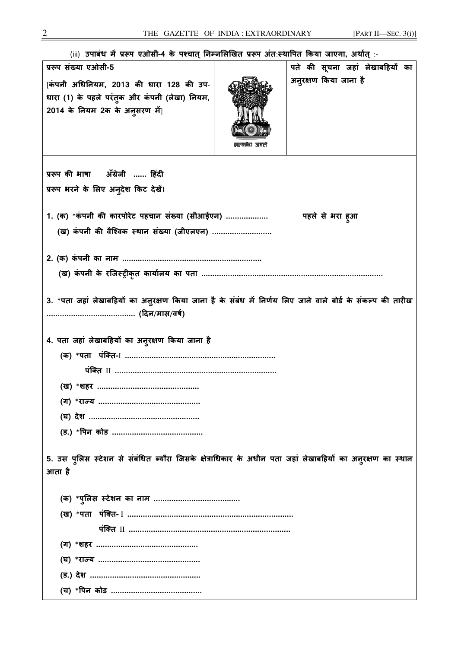| (iii) उपाबंध में प्ररूप एओसी-4 के पश्चात् निम्नलिखित प्ररूप अंतःस्थापित किया जाएगा, अर्थात् :-                             |              |                                 |  |  |  |
|----------------------------------------------------------------------------------------------------------------------------|--------------|---------------------------------|--|--|--|
| प्ररूप संख्या एओसी-5                                                                                                       |              | पते की सूचना जहां लेखाबहियों का |  |  |  |
| [कंपनी अधिनियम, 2013 की धारा 128 की उप-<br>धारा (1) के पहले परंतुक और कंपनी (लेखा) नियम,<br>2014 के नियम 2क के अनुसरण में] | सल्यहेच जयती | अनुरक्षण किया जाना है           |  |  |  |
| प्ररूप की भाषा ॲंग्रेजी  हिंदी                                                                                             |              |                                 |  |  |  |
| प्ररूप भरने के लिए अनुदेश किट देखें।                                                                                       |              |                                 |  |  |  |
|                                                                                                                            |              |                                 |  |  |  |
| 1. (क) *कंपनी की कारपोरेट पहचान संख्या (सीआईएन)                                                                            |              | पहले से भरा हुआ                 |  |  |  |
| (ख) कंपनी की वैश्विक स्थान संख्या (जीएलएन)                                                                                 |              |                                 |  |  |  |
|                                                                                                                            |              |                                 |  |  |  |
|                                                                                                                            |              |                                 |  |  |  |
|                                                                                                                            |              |                                 |  |  |  |
| 3. *पता जहां लेखाबहियों का अनुरक्षण किया जाना है के संबंध में निर्णय लिए जाने वाले बोर्ड के संकल्प की तारीख                |              |                                 |  |  |  |
| 4. पता जहां लेखाबहियों का अनुरक्षण किया जाना है                                                                            |              |                                 |  |  |  |
|                                                                                                                            |              |                                 |  |  |  |
|                                                                                                                            |              |                                 |  |  |  |
|                                                                                                                            |              |                                 |  |  |  |
|                                                                                                                            |              |                                 |  |  |  |
|                                                                                                                            |              |                                 |  |  |  |
|                                                                                                                            |              |                                 |  |  |  |
|                                                                                                                            |              |                                 |  |  |  |
| 5. उस पुलिस स्टेशन से संबंधित ब्यौरा जिसके क्षेत्राधिकार के अधीन पता जहां लेखाबहियों का अनुरक्षण का स्थान                  |              |                                 |  |  |  |
| आता है                                                                                                                     |              |                                 |  |  |  |
|                                                                                                                            |              |                                 |  |  |  |
|                                                                                                                            |              |                                 |  |  |  |
|                                                                                                                            |              |                                 |  |  |  |
|                                                                                                                            |              |                                 |  |  |  |
|                                                                                                                            |              |                                 |  |  |  |
|                                                                                                                            |              |                                 |  |  |  |
|                                                                                                                            |              |                                 |  |  |  |
|                                                                                                                            |              |                                 |  |  |  |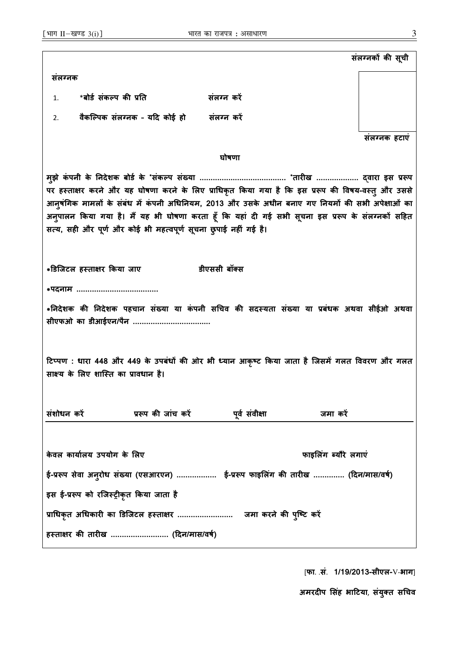संलग्नकों की सूची संलaनक 1. \*बोर्ड संकल्प की प्रति संलग्न करे 2. वैकल्पिक संलग्नक - यदि कोई हो संलग्न करें संलaनक हटाएं घोषणा मझे कं पनी के #नदेशक बोड के ु \*संकप संWया ....................................... \*तारख ................... /वारा इस 0Rप पर हस्ताक्षर करने और यह घोषणा करने के लिए प्राधिकृत किया गया है कि इस प्ररूप की विषय-वस्त् और उससे आनुषंगिक मामलों के संबंध में कंपनी अधिनियम, 2013 और उसके अधीन बनाए गए नियमों की सभी अपेक्षाओं का अनुपालन किया गया है। मैं यह भी घोषणा करता हूँ कि यहां दी गई सभी सूचना इस प्ररूप के संलग्नकों सहित सत्य, सही और पूर्ण और कोई भी महत्वपूर्ण सूचना छुपाई नहीं गई है। \*gडिजटल हKताOर Mकया जाए डीएससी बॉ5स \*पदनाम ..................................... \*निदेशक की निदेशक पहचान संख्या या कंपनी सचिव की सदस्यता संख्या या प्रबंधक अथवा सीईओ अथवा सीएफओ का डीआईएन/पैन ................................... टिप्पण : धारा 448 और 449 के उपबंधों की ओर भी ध्यान आकृष्ट किया जाता है जिसमें गलत विवरण और गलत साक्ष्य के लिए शास्ति का प्रावधान है। संशोधन करें बाद प्ररूप की जांच करें पूर्व संवीक्षा बाद्ध जमा करें केवल कार्यालय उपयोग के लिए फाइलिंग ब्यौरे लगाएं ई-प्ररूप सेवा अनुरोध संख्या (एसआरएन) ..................... ई-प्ररूप फाइलिंग की तारीख .............. (दिन/मास/वर्ष) इस ई-प्ररूप को रजिस्ट्रीकृत किया जाता है 0ाधकृत अधकार का gडिजटल हKताOर ......................... जमा करने क+ पिmट करH ु हस्ताक्षर की तारीख .......................... (दिन/मास/वर्ष)

[फा. .सं. 1/19/2013-सीएल-V-भाग]

अमरदीप सिंह भाटिया, संयुक्त सचिव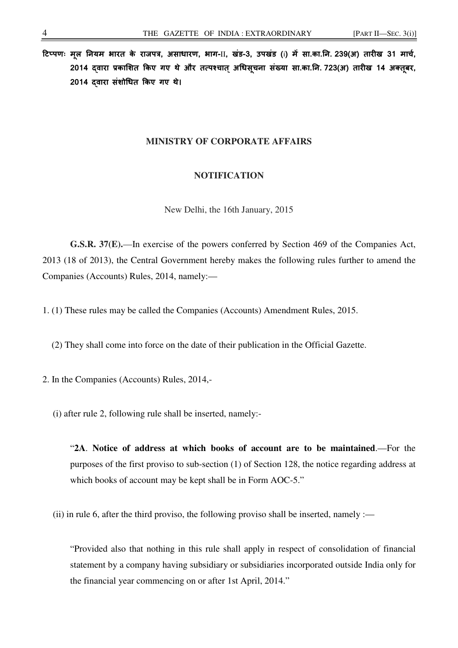टिप्पणः मूल नियम भारत के राजपत्र, असाधारण, भाग-II, खंड-3, उपखंड (i) में सा.का.नि. 239(अ) तारीख 31 मार्च, 2014 दवारा प्रकाशित किए गए थे और तत्पश्चात अधिसूचना संख्या सा.का.नि. 723(अ) तारीख 14 अक्तुबर, 2014 दवारा संशोधित किए गए थे।

## **MINISTRY OF CORPORATE AFFAIRS**

## **NOTIFICATION**

New Delhi, the 16th January, 2015

**G.S.R. 37(E).**—In exercise of the powers conferred by Section 469 of the Companies Act, 2013 (18 of 2013), the Central Government hereby makes the following rules further to amend the Companies (Accounts) Rules, 2014, namely:—

1. (1) These rules may be called the Companies (Accounts) Amendment Rules, 2015.

(2) They shall come into force on the date of their publication in the Official Gazette.

2. In the Companies (Accounts) Rules, 2014,-

(i) after rule 2, following rule shall be inserted, namely:-

"**2A**. **Notice of address at which books of account are to be maintained**.—For the purposes of the first proviso to sub-section (1) of Section 128, the notice regarding address at which books of account may be kept shall be in Form AOC-5."

(ii) in rule 6, after the third proviso, the following proviso shall be inserted, namely :—

"Provided also that nothing in this rule shall apply in respect of consolidation of financial statement by a company having subsidiary or subsidiaries incorporated outside India only for the financial year commencing on or after 1st April, 2014."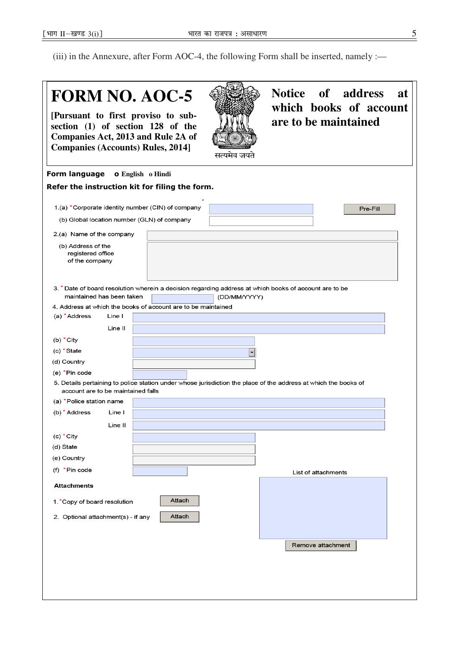(iii) in the Annexure, after Form AOC-4, the following Form shall be inserted, namely :—

# **FORM NO. AOC-5 Notice of address at which books of account [Pursuant to first proviso to subare to be maintained section (1) of section 128 of the Companies Act, 2013 and Rule 2A of Companies (Accounts) Rules, 2014]**  सत्यमेव जयते Form language o **English o Hindi**  Refer the instruction kit for filing the form. 1.(a) \*Corporate identity number (CIN) of company Pre-Fill (b) Global location number (GLN) of company 2.(a) Name of the company (b) Address of the registered office of the company 3. \* Date of board resolution wherein a decision regarding address at which books of account are to be maintained has been taken (DD/MM/YYYY) 4. Address at which the books of account are to be maintained (a)  $*$  Address Line I Line II (b)  $*$  City (c) \* State  $\boxed{\mathbf{I}}$ (d) Country (e) \*Pin code 5. Details pertaining to police station under whose jurisdiction the place of the address at which the books of account are to be maintained falls (a) \*Police station name (b) \* Address Line I Line II  $(c) * City$ (d) State (e) Country (f)  $*$ Pin code List of attachments **Attachments** Attach 1. \*Copy of board resolution 2. Optional attachment(s) - if any Attach Remove attachment